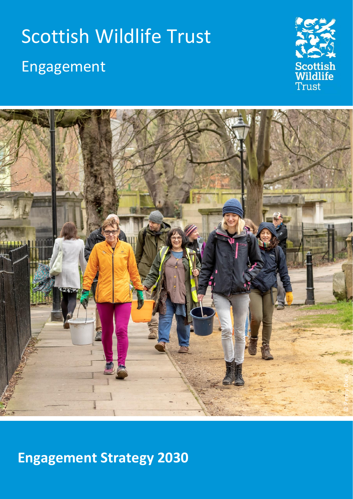# Scottish Wildlife Trust Engagement





## **Engagement Strategy 2030**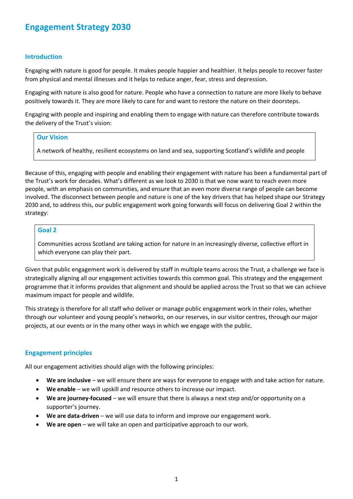### **Engagement Strategy 2030**

#### **Introduction**

Engaging with nature is good for people. It makes people happier and healthier. It helps people to recover faster from physical and mental illnesses and it helps to reduce anger, fear, stress and depression.

Engaging with nature is also good for nature. People who have a connection to nature are more likely to behave positively towards it. They are more likely to care for and want to restore the nature on their doorsteps.

Engaging with people and inspiring and enabling them to engage with nature can therefore contribute towards the delivery of the Trust's vision:

#### **Our Vision**

A network of healthy, resilient ecosystems on land and sea, supporting Scotland's wildlife and people

Because of this, engaging with people and enabling their engagement with nature has been a fundamental part of the Trust's work for decades. What's different as we look to 2030 is that we now want to reach even more people, with an emphasis on communities, and ensure that an even more diverse range of people can become involved. The disconnect between people and nature is one of the key drivers that has helped shape our Strategy 2030 and, to address this, our public engagement work going forwards will focus on delivering Goal 2 within the strategy:

#### **Goal 2**

Communities across Scotland are taking action for nature in an increasingly diverse, collective effort in which everyone can play their part.

Given that public engagement work is delivered by staff in multiple teams across the Trust, a challenge we face is strategically aligning all our engagement activities towards this common goal. This strategy and the engagement programme that it informs provides that alignment and should be applied across the Trust so that we can achieve maximum impact for people and wildlife.

This strategy is therefore for all staff who deliver or manage public engagement work in their roles, whether through our volunteer and young people's networks, on our reserves, in our visitor centres, through our major projects, at our events or in the many other ways in which we engage with the public.

#### **Engagement principles**

All our engagement activities should align with the following principles:

- **We are inclusive** we will ensure there are ways for everyone to engage with and take action for nature.
- We enable we will upskill and resource others to increase our impact.
- **We are journey-focused** we will ensure that there is always a next step and/or opportunity on a supporter's journey.
- **We are data-driven** we will use data to inform and improve our engagement work.
- **We are open** we will take an open and participative approach to our work.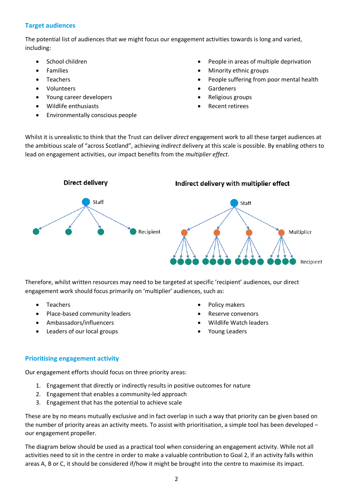#### **Target audiences**

The potential list of audiences that we might focus our engagement activities towards is long and varied, including:

- School children
- **Families**
- **Teachers**
- Volunteers
- Young career developers
- Wildlife enthusiasts
- Environmentally conscious people
- People in areas of multiple deprivation
- Minority ethnic groups
- People suffering from poor mental health
- **Gardeners**
- Religious groups
- Recent retirees

Whilst it is unrealistic to think that the Trust can deliver *direct* engagement work to all these target audiences at the ambitious scale of "across Scotland", achieving *indirect* delivery at this scale is possible. By enabling others to lead on engagement activities, our impact benefits from the *multiplier effect*.



Therefore, whilst written resources may need to be targeted at specific 'recipient' audiences, our direct engagement work should focus primarily on 'multiplier' audiences, such as:

- Teachers
- Place-based community leaders
- Ambassadors/influencers
- Leaders of our local groups
- Policy makers
- Reserve convenors
- Wildlife Watch leaders
- Young Leaders

#### **Prioritising engagement activity**

Our engagement efforts should focus on three priority areas:

- 1. Engagement that directly or indirectly results in positive outcomes for nature
- 2. Engagement that enables a community-led approach
- 3. Engagement that has the potential to achieve scale

These are by no means mutually exclusive and in fact overlap in such a way that priority can be given based on the number of priority areas an activity meets. To assist with prioritisation, a simple tool has been developed – our engagement propeller.

The diagram below should be used as a practical tool when considering an engagement activity. While not all activities need to sit in the centre in order to make a valuable contribution to Goal 2, if an activity falls within areas A, B or C, it should be considered if/how it might be brought into the centre to maximise its impact.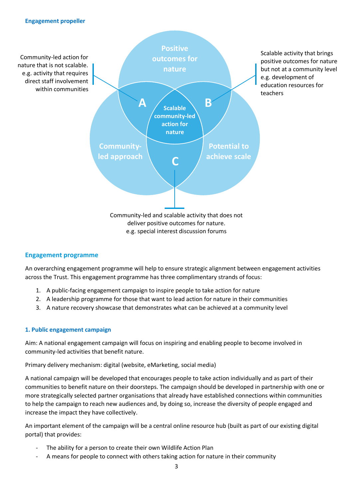

#### **Engagement programme**

An overarching engagement programme will help to ensure strategic alignment between engagement activities across the Trust. This engagement programme has three complimentary strands of focus:

- 1. A public-facing engagement campaign to inspire people to take action for nature
- 2. A leadership programme for those that want to lead action for nature in their communities
- 3. A nature recovery showcase that demonstrates what can be achieved at a community level

#### **1. Public engagement campaign**

Aim: A national engagement campaign will focus on inspiring and enabling people to become involved in community-led activities that benefit nature.

Primary delivery mechanism: digital (website, eMarketing, social media)

A national campaign will be developed that encourages people to take action individually and as part of their communities to benefit nature on their doorsteps. The campaign should be developed in partnership with one or more strategically selected partner organisations that already have established connections within communities to help the campaign to reach new audiences and, by doing so, increase the diversity of people engaged and increase the impact they have collectively.

An important element of the campaign will be a central online resource hub (built as part of our existing digital portal) that provides:

- The ability for a person to create their own Wildlife Action Plan
- A means for people to connect with others taking action for nature in their community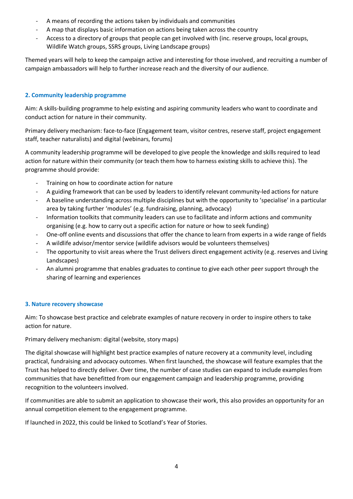- A means of recording the actions taken by individuals and communities
- A map that displays basic information on actions being taken across the country
- Access to a directory of groups that people can get involved with (inc. reserve groups, local groups, Wildlife Watch groups, SSRS groups, Living Landscape groups)

Themed years will help to keep the campaign active and interesting for those involved, and recruiting a number of campaign ambassadors will help to further increase reach and the diversity of our audience.

#### **2. Community leadership programme**

Aim: A skills-building programme to help existing and aspiring community leaders who want to coordinate and conduct action for nature in their community.

Primary delivery mechanism: face-to-face (Engagement team, visitor centres, reserve staff, project engagement staff, teacher naturalists) and digital (webinars, forums)

A community leadership programme will be developed to give people the knowledge and skills required to lead action for nature within their community (or teach them how to harness existing skills to achieve this). The programme should provide:

- Training on how to coordinate action for nature
- A guiding framework that can be used by leaders to identify relevant community-led actions for nature
- A baseline understanding across multiple disciplines but with the opportunity to 'specialise' in a particular area by taking further 'modules' (e.g. fundraising, planning, advocacy)
- Information toolkits that community leaders can use to facilitate and inform actions and community organising (e.g. how to carry out a specific action for nature or how to seek funding)
- One-off online events and discussions that offer the chance to learn from experts in a wide range of fields
- A wildlife advisor/mentor service (wildlife advisors would be volunteers themselves)
- The opportunity to visit areas where the Trust delivers direct engagement activity (e.g. reserves and Living Landscapes)
- An alumni programme that enables graduates to continue to give each other peer support through the sharing of learning and experiences

#### **3. Nature recovery showcase**

Aim: To showcase best practice and celebrate examples of nature recovery in order to inspire others to take action for nature.

Primary delivery mechanism: digital (website, story maps)

The digital showcase will highlight best practice examples of nature recovery at a community level, including practical, fundraising and advocacy outcomes. When first launched, the showcase will feature examples that the Trust has helped to directly deliver. Over time, the number of case studies can expand to include examples from communities that have benefitted from our engagement campaign and leadership programme, providing recognition to the volunteers involved.

If communities are able to submit an application to showcase their work, this also provides an opportunity for an annual competition element to the engagement programme.

If launched in 2022, this could be linked to Scotland's Year of Stories.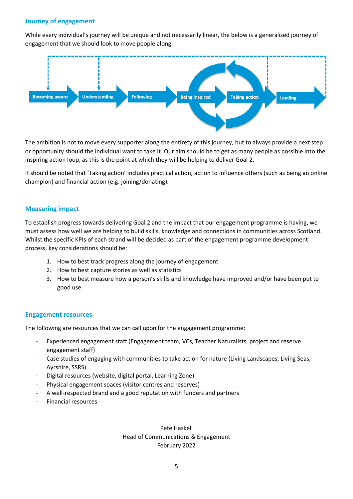#### **Journey of engagement**

While every individual's journey will be unique and not necessarily linear, the below is a generalised journey of engagement that we should look to move people along.



The ambition is not to move every supporter along the entirety of this journey, but to always provide a next step or opportunity should the individual want to take it. Our aim should be to get as many people as possible into the inspiring action loop, as this is the point at which they will be helping to deliver Goal 2.

It should be noted that 'Taking action' includes practical action, action to influence others (such as being an online champion) and financial action (e.g. joining/donating).

#### **Measuring impact**

To establish progress towards delivering Goal 2 and the impact that our engagement programme is having, we must assess how well we are helping to build skills, knowledge and connections in communities across Scotland. Whilst the specific KPIs of each strand will be decided as part of the engagement programme development process, key considerations should be:

- 1. How to best track progress along the journey of engagement
- 2. How to best capture stories as well as statistics
- 3. How to best measure how a person's skills and knowledge have improved and/or have been put to good use

#### **Engagement resources**

The following are resources that we can call upon for the engagement programme:

- Experienced engagement staff (Engagement team, VCs, Teacher Naturalists, project and reserve engagement staff)
- Case studies of engaging with communities to take action for nature (Living Landscapes, Living Seas, Ayrshire, SSRS)
- Digital resources (website, digital portal, Learning Zone)
- Physical engagement spaces (visitor centres and reserves)
- A well-respected brand and a good reputation with funders and partners
- Financial resources

Pete Haskell Head of Communications & Engagement February 2022